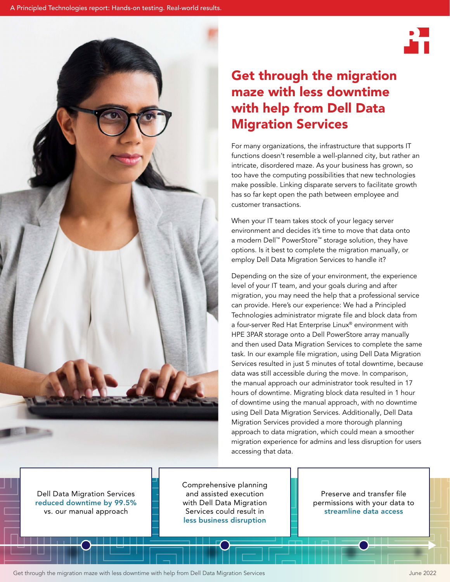

# Get through the migration maze with less downtime with help from Dell Data Migration Services

For many organizations, the infrastructure that supports IT functions doesn't resemble a well-planned city, but rather an intricate, disordered maze. As your business has grown, so too have the computing possibilities that new technologies make possible. Linking disparate servers to facilitate growth has so far kept open the path between employee and customer transactions.

When your IT team takes stock of your legacy server environment and decides it's time to move that data onto a modern Dell™ PowerStore™ storage solution, they have options. Is it best to complete the migration manually, or employ Dell Data Migration Services to handle it?

Depending on the size of your environment, the experience level of your IT team, and your goals during and after migration, you may need the help that a professional service can provide. Here's our experience: We had a Principled Technologies administrator migrate file and block data from a four-server Red Hat Enterprise Linux® environment with HPE 3PAR storage onto a Dell PowerStore array manually and then used Data Migration Services to complete the same task. In our example file migration, using Dell Data Migration Services resulted in just 5 minutes of total downtime, because data was still accessible during the move. In comparison, the manual approach our administrator took resulted in 17 hours of downtime. Migrating block data resulted in 1 hour of downtime using the manual approach, with no downtime using Dell Data Migration Services. Additionally, Dell Data Migration Services provided a more thorough planning approach to data migration, which could mean a smoother migration experience for admins and less disruption for users accessing that data.

Dell Data Migration Services reduced downtime by 99.5% vs. our manual approach

Comprehensive planning and assisted execution with Dell Data Migration Services could result in less business disruption

Preserve and transfer file permissions with your data to streamline data access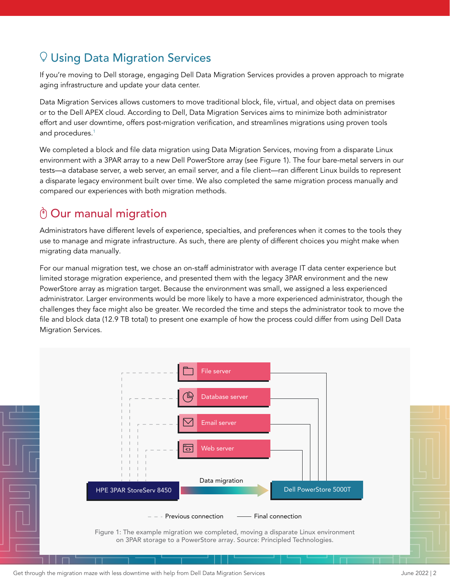# $\mathbb Q$  Using Data Migration Services

If you're moving to Dell storage, engaging Dell Data Migration Services provides a proven approach to migrate aging infrastructure and update your data center.

Data Migration Services allows customers to move traditional block, file, virtual, and object data on premises or to the Dell APEX cloud. According to Dell, Data Migration Services aims to minimize both administrator effort and user downtime, offers post-migration verification, and streamlines migrations using proven tools and procedures.[1](#page-5-0)

We completed a block and file data migration using Data Migration Services, moving from a disparate Linux environment with a 3PAR array to a new Dell PowerStore array (see Figure 1). The four bare-metal servers in our tests—a database server, a web server, an email server, and a file client—ran different Linux builds to represent a disparate legacy environment built over time. We also completed the same migration process manually and compared our experiences with both migration methods.

# $\bigcirc$  Our manual migration

Administrators have different levels of experience, specialties, and preferences when it comes to the tools they use to manage and migrate infrastructure. As such, there are plenty of different choices you might make when migrating data manually.

For our manual migration test, we chose an on-staff administrator with average IT data center experience but limited storage migration experience, and presented them with the legacy 3PAR environment and the new PowerStore array as migration target. Because the environment was small, we assigned a less experienced administrator. Larger environments would be more likely to have a more experienced administrator, though the challenges they face might also be greater. We recorded the time and steps the administrator took to move the file and block data (12.9 TB total) to present one example of how the process could differ from using Dell Data Migration Services.

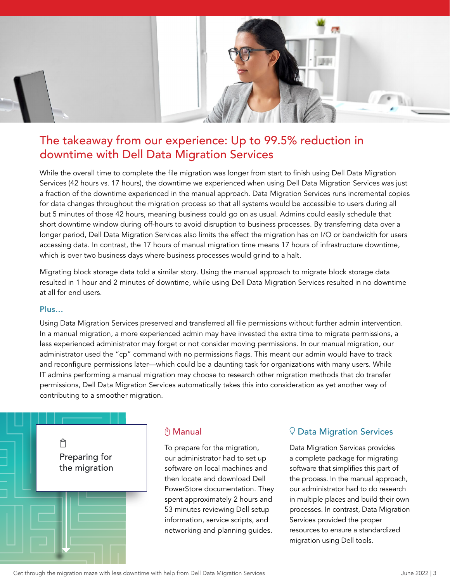

# The takeaway from our experience: Up to 99.5% reduction in downtime with Dell Data Migration Services

While the overall time to complete the file migration was longer from start to finish using Dell Data Migration Services (42 hours vs. 17 hours), the downtime we experienced when using Dell Data Migration Services was just a fraction of the downtime experienced in the manual approach. Data Migration Services runs incremental copies for data changes throughout the migration process so that all systems would be accessible to users during all but 5 minutes of those 42 hours, meaning business could go on as usual. Admins could easily schedule that short downtime window during off-hours to avoid disruption to business processes. By transferring data over a longer period, Dell Data Migration Services also limits the effect the migration has on I/O or bandwidth for users accessing data. In contrast, the 17 hours of manual migration time means 17 hours of infrastructure downtime, which is over two business days where business processes would grind to a halt.

Migrating block storage data told a similar story. Using the manual approach to migrate block storage data resulted in 1 hour and 2 minutes of downtime, while using Dell Data Migration Services resulted in no downtime at all for end users.

### Plus…

Using Data Migration Services preserved and transferred all file permissions without further admin intervention. In a manual migration, a more experienced admin may have invested the extra time to migrate permissions, a less experienced administrator may forget or not consider moving permissions. In our manual migration, our administrator used the "cp" command with no permissions flags. This meant our admin would have to track and reconfigure permissions later—which could be a daunting task for organizations with many users. While IT admins performing a manual migration may choose to research other migration methods that do transfer permissions, Dell Data Migration Services automatically takes this into consideration as yet another way of contributing to a smoother migration.



## ี Manual

To prepare for the migration, our administrator had to set up software on local machines and then locate and download Dell PowerStore documentation. They spent approximately 2 hours and 53 minutes reviewing Dell setup information, service scripts, and networking and planning guides.

## $\heartsuit$  Data Migration Services

Data Migration Services provides a complete package for migrating software that simplifies this part of the process. In the manual approach, our administrator had to do research in multiple places and build their own processes. In contrast, Data Migration Services provided the proper resources to ensure a standardized migration using Dell tools.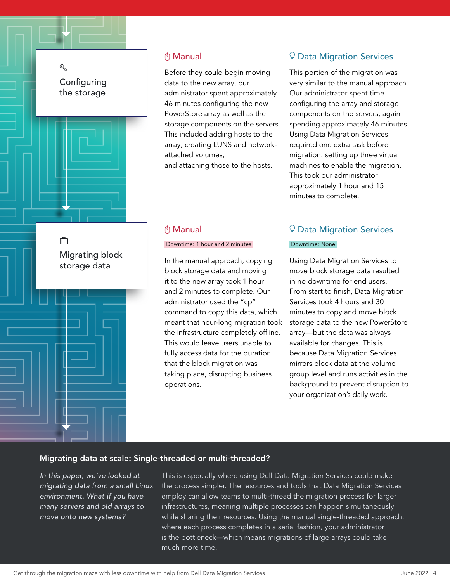## ez<br>S **Configuring** the storage



m Migrating block storage data

### **ี่ Manual**

Before they could begin moving data to the new array, our administrator spent approximately 46 minutes configuring the new PowerStore array as well as the storage components on the servers. This included adding hosts to the array, creating LUNS and networkattached volumes, and attaching those to the hosts.

### ີ່ Manual

### Downtime: 1 hour and 2 minutes

In the manual approach, copying block storage data and moving it to the new array took 1 hour and 2 minutes to complete. Our administrator used the "cp" command to copy this data, which meant that hour-long migration took the infrastructure completely offline. This would leave users unable to fully access data for the duration that the block migration was taking place, disrupting business operations.

## $\mathcal Q$  Data Migration Services

This portion of the migration was very similar to the manual approach. Our administrator spent time configuring the array and storage components on the servers, again spending approximately 46 minutes. Using Data Migration Services required one extra task before migration: setting up three virtual machines to enable the migration. This took our administrator approximately 1 hour and 15 minutes to complete.

# $\heartsuit$  Data Migration Services

### Downtime: None

Using Data Migration Services to move block storage data resulted in no downtime for end users. From start to finish, Data Migration Services took 4 hours and 30 minutes to copy and move block storage data to the new PowerStore array—but the data was always available for changes. This is because Data Migration Services mirrors block data at the volume group level and runs activities in the background to prevent disruption to your organization's daily work.

### Migrating data at scale: Single-threaded or multi-threaded?

*In this paper, we've looked at migrating data from a small Linux environment. What if you have many servers and old arrays to move onto new systems?* 

This is especially where using Dell Data Migration Services could make the process simpler. The resources and tools that Data Migration Services employ can allow teams to multi-thread the migration process for larger infrastructures, meaning multiple processes can happen simultaneously while sharing their resources. Using the manual single-threaded approach, where each process completes in a serial fashion, your administrator is the bottleneck—which means migrations of large arrays could take much more time.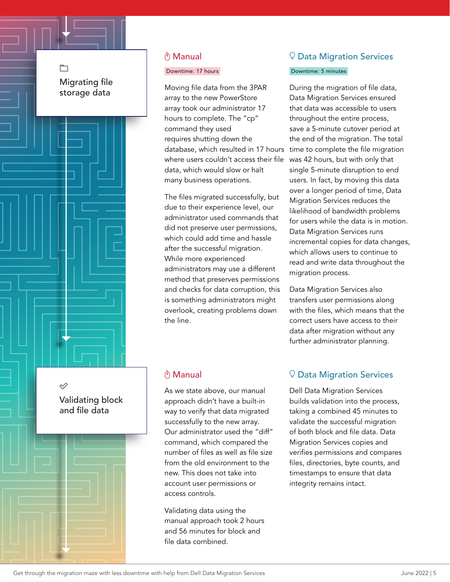$\Box$ Migrating file storage data



### Downtime: 17 hours

Moving file data from the 3PAR array to the new PowerStore array took our administrator 17 hours to complete. The "cp" command they used requires shutting down the database, which resulted in 17 hours where users couldn't access their file data, which would slow or halt many business operations.

The files migrated successfully, but due to their experience level, our administrator used commands that did not preserve user permissions, which could add time and hassle after the successful migration. While more experienced administrators may use a different method that preserves permissions and checks for data corruption, this is something administrators might overlook, creating problems down the line.

### ี Manual

As we state above, our manual approach didn't have a built-in way to verify that data migrated successfully to the new array. Our administrator used the "diff" command, which compared the number of files as well as file size from the old environment to the new. This does not take into account user permissions or access controls.

Validating data using the manual approach took 2 hours and 56 minutes for block and file data combined.

## $\mathcal Q$  Data Migration Services

#### Downtime: 5 minutes

During the migration of file data, Data Migration Services ensured that data was accessible to users throughout the entire process, save a 5-minute cutover period at the end of the migration. The total time to complete the file migration was 42 hours, but with only that single 5-minute disruption to end users. In fact, by moving this data over a longer period of time, Data Migration Services reduces the likelihood of bandwidth problems for users while the data is in motion. Data Migration Services runs incremental copies for data changes, which allows users to continue to read and write data throughout the migration process.

Data Migration Services also transfers user permissions along with the files, which means that the correct users have access to their data after migration without any further administrator planning.

### $\heartsuit$  Data Migration Services

Dell Data Migration Services builds validation into the process, taking a combined 45 minutes to validate the successful migration of both block and file data. Data Migration Services copies and verifies permissions and compares files, directories, byte counts, and timestamps to ensure that data integrity remains intact.

Ù Validating block and file data